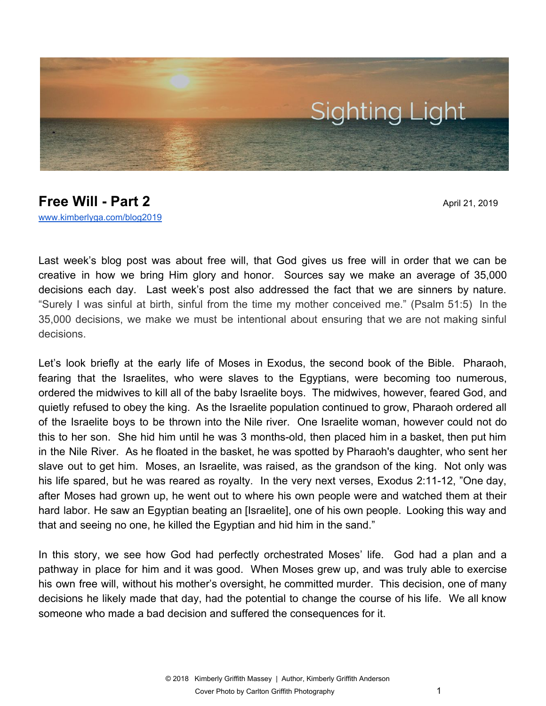

## **Free Will - Part 2** April 21, 2019 [www.kimberlyga.com/blog2019](http://www.kimberlyga.com/blog)

Last week's blog post was about free will, that God gives us free will in order that we can be creative in how we bring Him glory and honor. Sources say we make an average of 35,000 decisions each day. Last week's post also addressed the fact that we are sinners by nature. "Surely I was sinful at birth, sinful from the time my mother conceived me." (Psalm 51:5) In the 35,000 decisions, we make we must be intentional about ensuring that we are not making sinful decisions.

Let's look briefly at the early life of Moses in Exodus, the second book of the Bible. Pharaoh, fearing that the Israelites, who were slaves to the Egyptians, were becoming too numerous, ordered the midwives to kill all of the baby Israelite boys. The midwives, however, feared God, and quietly refused to obey the king. As the Israelite population continued to grow, Pharaoh ordered all of the Israelite boys to be thrown into the Nile river. One Israelite woman, however could not do this to her son. She hid him until he was 3 months-old, then placed him in a basket, then put him in the Nile River. As he floated in the basket, he was spotted by Pharaoh's daughter, who sent her slave out to get him. Moses, an Israelite, was raised, as the grandson of the king. Not only was his life spared, but he was reared as royalty. In the very next verses, Exodus 2:11-12, "One day, after Moses had grown up, he went out to where his own people were and watched them at their hard labor. He saw an Egyptian beating an [Israelite], one of his own people. Looking this way and that and seeing no one, he killed the Egyptian and hid him in the sand."

In this story, we see how God had perfectly orchestrated Moses' life. God had a plan and a pathway in place for him and it was good. When Moses grew up, and was truly able to exercise his own free will, without his mother's oversight, he committed murder. This decision, one of many decisions he likely made that day, had the potential to change the course of his life. We all know someone who made a bad decision and suffered the consequences for it.